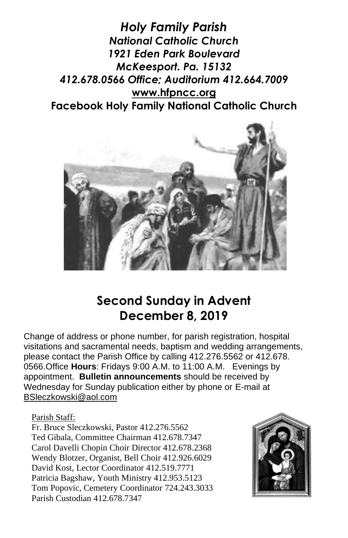*Holy Family Parish National Catholic Church 1921 Eden Park Boulevard McKeesport. Pa. 15132 412.678.0566 Office; Auditorium 412.664.7009* **[www.hfpncc.org](http://www.hfpncc.org/) Facebook Holy Family National Catholic Church**



# **Second Sunday in Advent December 8, 2019**

Change of address or phone number, for parish registration, hospital visitations and sacramental needs, baptism and wedding arrangements, please contact the Parish Office by calling 412.276.5562 or 412.678. 0566.Office **Hours**: Fridays 9:00 A.M. to 11:00 A.M. Evenings by appointment. **Bulletin announcements** should be received by Wednesday for Sunday publication either by phone or E-mail at [BSleczkowski@aol.com](mailto:BSleczkowski@aol.com)

### Parish Staff:

Fr. Bruce Sleczkowski, Pastor 412.276.5562 Ted Gibala, Committee Chairman 412.678.7347 Carol Davelli Chopin Choir Director 412.678.2368 Wendy Blotzer, Organist, Bell Choir 412.926.6029 David Kost, Lector Coordinator 412.519.7771 Patricia Bagshaw, Youth Ministry 412.953.5123 Tom Popovic, Cemetery Coordinator 724.243.3033 Parish Custodian 412.678.7347

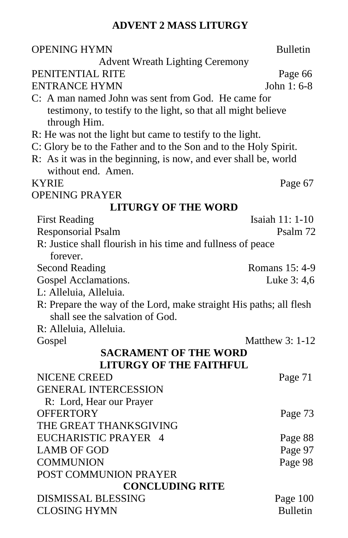### **ADVENT 2 MASS LITURGY**

| <b>OPENING HYMN</b>                                                | <b>Bulletin</b>  |
|--------------------------------------------------------------------|------------------|
| <b>Advent Wreath Lighting Ceremony</b><br>PENITENTIAL RITE         | Page 66          |
| <b>ENTRANCE HYMN</b>                                               | John 1: 6-8      |
| C: A man named John was sent from God. He came for                 |                  |
| testimony, to testify to the light, so that all might believe      |                  |
| through Him.                                                       |                  |
| R: He was not the light but came to testify to the light.          |                  |
| C: Glory be to the Father and to the Son and to the Holy Spirit.   |                  |
| R: As it was in the beginning, is now, and ever shall be, world    |                  |
| without end. Amen.                                                 |                  |
| <b>KYRIE</b>                                                       | Page 67          |
| <b>OPENING PRAYER</b>                                              |                  |
| <b>LITURGY OF THE WORD</b>                                         |                  |
| <b>First Reading</b>                                               | Isaiah 11: 1-10  |
| <b>Responsorial Psalm</b>                                          | Psalm 72         |
| R: Justice shall flourish in his time and fullness of peace        |                  |
| forever.                                                           |                  |
| <b>Second Reading</b>                                              | Romans 15: 4-9   |
| Gospel Acclamations.                                               | Luke 3: 4,6      |
| L: Alleluia, Alleluia.                                             |                  |
| R: Prepare the way of the Lord, make straight His paths; all flesh |                  |
| shall see the salvation of God.                                    |                  |
| R: Alleluia, Alleluia.                                             |                  |
| Gospel                                                             | Matthew $3:1-12$ |
| <b>SACRAMENT OF THE WORD</b>                                       |                  |
| <b>LITURGY OF THE FAITHFUL</b>                                     |                  |
| <b>NICENE CREED</b>                                                | Page 71          |
| <b>GENERAL INTERCESSION</b>                                        |                  |
| R: Lord, Hear our Prayer                                           |                  |
| <b>OFFERTORY</b>                                                   | Page 73          |
| THE GREAT THANKSGIVING                                             |                  |
| EUCHARISTIC PRAYER 4                                               | Page 88          |
| <b>LAMB OF GOD</b>                                                 | Page 97          |
| <b>COMMUNION</b>                                                   | Page 98          |
| POST COMMUNION PRAYER                                              |                  |
| <b>CONCLUDING RITE</b>                                             |                  |
| <b>DISMISSAL BLESSING</b>                                          | Page 100         |
| <b>CLOSING HYMN</b>                                                | <b>Bulletin</b>  |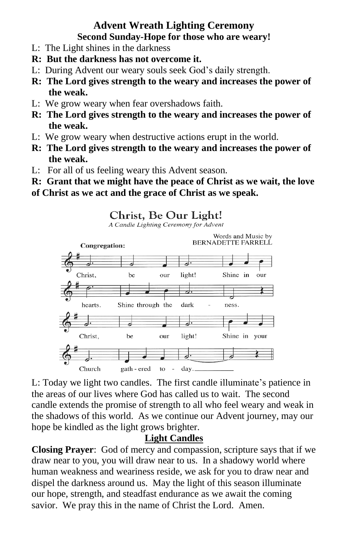### **Advent Wreath Lighting Ceremony Second Sunday-Hope for those who are weary!**

- L: The Light shines in the darkness
- **R: But the darkness has not overcome it.**
- L: During Advent our weary souls seek God's daily strength.
- **R: The Lord gives strength to the weary and increases the power of the weak.**
- L: We grow weary when fear overshadows faith.
- **R: The Lord gives strength to the weary and increases the power of the weak.**
- L: We grow weary when destructive actions erupt in the world.
- **R: The Lord gives strength to the weary and increases the power of the weak.**
- L: For all of us feeling weary this Advent season.
- **R: Grant that we might have the peace of Christ as we wait, the love**
- **of Christ as we act and the grace of Christ as we speak.**

### Christ, Be Our Light!

A Candle Lighting Ceremony for Advent



L: Today we light two candles. The first candle illuminate's patience in the areas of our lives where God has called us to wait. The second candle extends the promise of strength to all who feel weary and weak in the shadows of this world. As we continue our Advent journey, may our hope be kindled as the light grows brighter.

### **Light Candles**

**Closing Prayer**: God of mercy and compassion, scripture says that if we draw near to you, you will draw near to us. In a shadowy world where human weakness and weariness reside, we ask for you to draw near and dispel the darkness around us. May the light of this season illuminate our hope, strength, and steadfast endurance as we await the coming savior. We pray this in the name of Christ the Lord. Amen.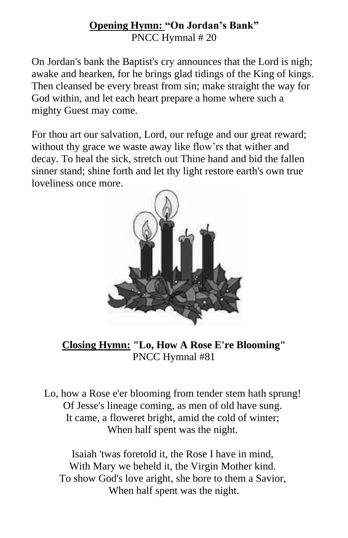### **Opening Hymn: "On Jordan's Bank"** PNCC Hymnal # 20

On Jordan's bank the Baptist's cry announces that the Lord is nigh; awake and hearken, for he brings glad tidings of the King of kings. Then cleansed be every breast from sin; make straight the way for God within, and let each heart prepare a home where such a mighty Guest may come.

For thou art our salvation, Lord, our refuge and our great reward; without thy grace we waste away like flow'rs that wither and decay. To heal the sick, stretch out Thine hand and bid the fallen sinner stand; shine forth and let thy light restore earth's own true loveliness once more.



**Closing Hymn: "Lo, How A Rose E're Blooming"** PNCC Hymnal #81

Lo, how a Rose e'er blooming from tender stem hath sprung! Of Jesse's lineage coming, as men of old have sung. It came, a floweret bright, amid the cold of winter; When half spent was the night.

Isaiah 'twas foretold it, the Rose I have in mind, With Mary we beheld it, the Virgin Mother kind. To show God's love aright, she bore to them a Savior, When half spent was the night.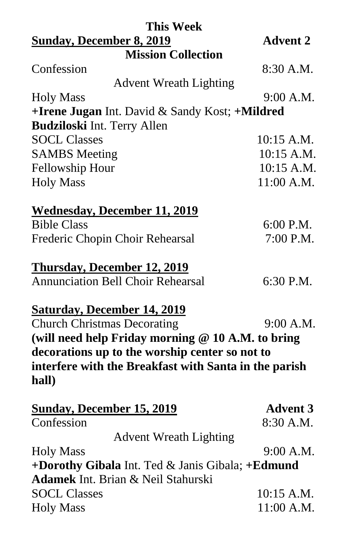| <b>This Week</b>                                      |                 |
|-------------------------------------------------------|-----------------|
| <b>Sunday, December 8, 2019</b>                       | <b>Advent 2</b> |
| <b>Mission Collection</b>                             |                 |
| Confession                                            | 8:30 A.M.       |
| <b>Advent Wreath Lighting</b>                         |                 |
| <b>Holy Mass</b>                                      | 9:00 A.M.       |
| +Irene Jugan Int. David & Sandy Kost; +Mildred        |                 |
| <b>Budziloski Int. Terry Allen</b>                    |                 |
| <b>SOCL Classes</b>                                   | $10:15$ A.M.    |
| <b>SAMBS</b> Meeting                                  | 10:15 A.M.      |
| Fellowship Hour                                       | 10:15 A.M.      |
| <b>Holy Mass</b>                                      | 11:00 A.M.      |
| <b>Wednesday, December 11, 2019</b>                   |                 |
| <b>Bible Class</b>                                    | $6:00$ P.M.     |
| Frederic Chopin Choir Rehearsal                       | 7:00 P.M.       |
| <b>Thursday, December 12, 2019</b>                    |                 |
| <b>Annunciation Bell Choir Rehearsal</b>              | 6:30 P.M.       |
| <b>Saturday, December 14, 2019</b>                    |                 |
| <b>Church Christmas Decorating</b>                    | 9:00 A.M.       |
| (will need help Friday morning @ 10 A.M. to bring     |                 |
| decorations up to the worship center so not to        |                 |
| interfere with the Breakfast with Santa in the parish |                 |
| hall)                                                 |                 |
| <b>Sunday, December 15, 2019</b>                      | <b>Advent 3</b> |
| Confession                                            | 8:30 A.M.       |
| <b>Advent Wreath Lighting</b>                         |                 |
| <b>Holy Mass</b>                                      | 9:00 A.M.       |
| +Dorothy Gibala Int. Ted & Janis Gibala; +Edmund      |                 |
| <b>Adamek</b> Int. Brian & Neil Stahurski             |                 |
| <b>SOCL Classes</b>                                   | 10:15 A.M.      |
| <b>Holy Mass</b>                                      | 11:00 A.M.      |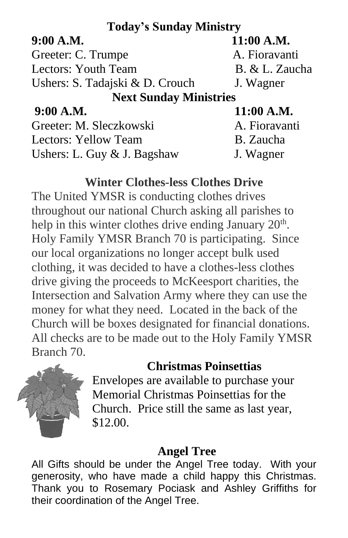## **Today's Sunday Ministry**

Greeter: C. Trumpe A. Fioravanti Lectors: Youth Team B. & L. Zaucha Ushers: S. Tadajski & D. Crouch J. Wagner

**9:00 A.M. 11:00 A.M.**

**Next Sunday Ministries**

**9:00 A.M. 11:00 A.M.**

Greeter: M. Sleczkowski A. Fioravanti Lectors: Yellow Team B. Zaucha Ushers: L. Guy & J. Bagshaw J. Wagner

## **Winter Clothes-less Clothes Drive**

The United YMSR is conducting clothes drives throughout our national Church asking all parishes to help in this winter clothes drive ending January  $20<sup>th</sup>$ . Holy Family YMSR Branch 70 is participating. Since our local organizations no longer accept bulk used clothing, it was decided to have a clothes-less clothes drive giving the proceeds to McKeesport charities, the Intersection and Salvation Army where they can use the money for what they need. Located in the back of the Church will be boxes designated for financial donations. All checks are to be made out to the Holy Family YMSR Branch 70.

## **Christmas Poinsettias**



Envelopes are available to purchase your Memorial Christmas Poinsettias for the Church. Price still the same as last year, \$12.00.

## **Angel Tree**

All Gifts should be under the Angel Tree today. With your generosity, who have made a child happy this Christmas. Thank you to Rosemary Pociask and Ashley Griffiths for their coordination of the Angel Tree.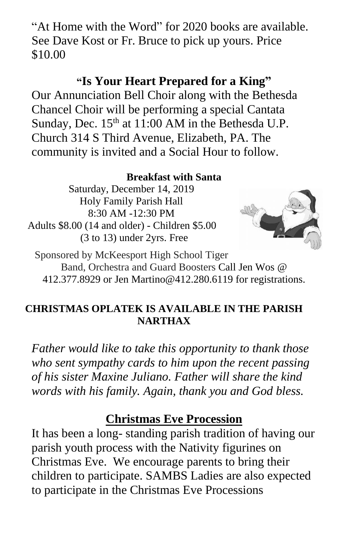"At Home with the Word" for 2020 books are available. See Dave Kost or Fr. Bruce to pick up yours. Price \$10.00

## **"Is Your Heart Prepared for a King"**

Our Annunciation Bell Choir along with the Bethesda Chancel Choir will be performing a special Cantata Sunday, Dec.  $15<sup>th</sup>$  at 11:00 AM in the Bethesda U.P. Church 314 S Third Avenue, Elizabeth, PA. The community is invited and a Social Hour to follow.

### **Breakfast with Santa**

Saturday, December 14, 2019 Holy Family Parish Hall 8:30 AM -12:30 PM Adults \$8.00 (14 and older) - Children \$5.00 (3 to 13) under 2yrs. Free



Sponsored by McKeesport High School Tiger Band, Orchestra and Guard Boosters Call Jen Wos @ 412.377.8929 or Jen [Martino@412.280.6119](mailto:Martino@412.280.6119) for registrations.

### **CHRISTMAS OPLATEK IS AVAILABLE IN THE PARISH NARTHAX**

*Father would like to take this opportunity to thank those who sent sympathy cards to him upon the recent passing of his sister Maxine Juliano. Father will share the kind words with his family. Again, thank you and God bless.*

### **Christmas Eve Procession**

It has been a long- standing parish tradition of having our parish youth process with the Nativity figurines on Christmas Eve. We encourage parents to bring their children to participate. SAMBS Ladies are also expected to participate in the Christmas Eve Processions